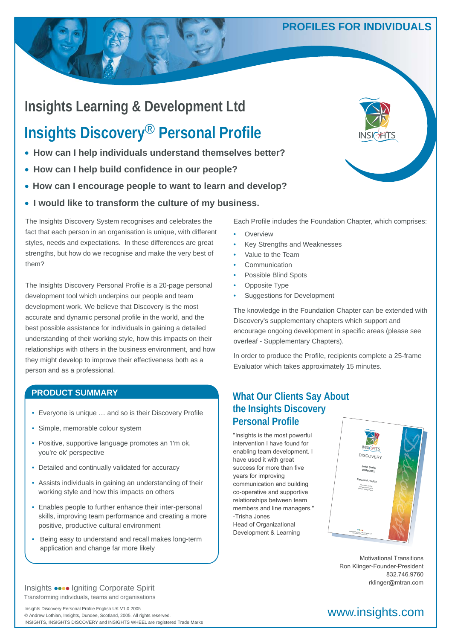# **PROFILES FOR INDIVIDUALS**

# **Insights Learning & Development Ltd**

# **Insights Discovery**® **Personal Profile**

- **How can I help individuals understand themselves better?**
- **How can I help build confidence in our people?**
- **How can I encourage people to want to learn and develop?**
- **I would like to transform the culture of my business.**

The Insights Discovery System recognises and celebrates the fact that each person in an organisation is unique, with different styles, needs and expectations. In these differences are great strengths, but how do we recognise and make the very best of them?

The Insights Discovery Personal Profile is a 20-page personal development tool which underpins our people and team development work. We believe that Discovery is the most accurate and dynamic personal profile in the world, and the best possible assistance for individuals in gaining a detailed understanding of their working style, how this impacts on their relationships with others in the business environment, and how they might develop to improve their effectiveness both as a person and as a professional.

### **PRODUCT SUMMARY**

- Everyone is unique … and so is their Discovery Profile
- Simple, memorable colour system
- Positive, supportive language promotes an 'I'm ok, you're ok' perspective
- Detailed and continually validated for accuracy
- Assists individuals in gaining an understanding of their working style and how this impacts on others
- Enables people to further enhance their inter-personal skills, improving team performance and creating a more positive, productive cultural environment
- Being easy to understand and recall makes long-term application and change far more likely

#### Transforming individuals, teams and organisations Insights  $\bullet \bullet \bullet \bullet$  Igniting Corporate Spirit

Insights Discovery Personal Profile English UK V1.0 2005<br>
© Andrew Lothian, Insights, Dundee, Scotland, 2005, All rights reserved. © Andrew Lothian, Insights, Dundee, Scotland, 2005. All rights reserved. INSIGHTS, INSIGHTS DISCOVERY and INSIGHTS WHEEL are registered Trade Marks



Each Profile includes the Foundation Chapter, which comprises:

- **Overview**
- Key Strengths and Weaknesses
- Value to the Team
- **Communication**
- Possible Blind Spots
- Opposite Type
- Suggestions for Development

The knowledge in the Foundation Chapter can be extended with Discovery's supplementary chapters which support and encourage ongoing development in specific areas (please see overleaf - Supplementary Chapters).

In order to produce the Profile, recipients complete a 25-frame Evaluator which takes approximately 15 minutes.

# **What Our Clients Say About the Insights Discovery Personal Profile**

*"I have become more efficient in*  "Insights is the most powerful *conducting both professional*  intervention I have found for enabling team development. I *Life is becoming less*  success for more than five *complicated. I wish to take this*  years for improving communication and building *sincere appreciation to you*  co-operative and supportive *for helping to bring about this*  relationships between team members and line managers." Head of Organizational Development & Learning have used it with great -Trisha Jones



Ron Klinger-Founder-President Jack Martin Way, Claverhouse Business Park 832.746.9760 rklinger@mtran.com  $\frac{1}{2}$ Motivational Transitions